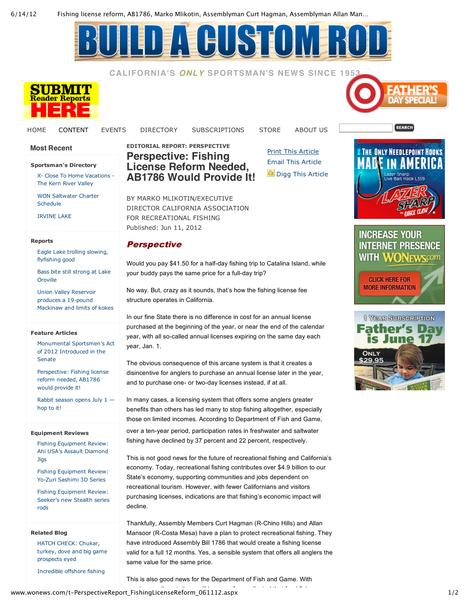6/14/12 Fishing license reform, AB1786, Marko Mlikotin, Assemblyman Curt Hagman, Assemblyman Allan Man…

## **CHIST**

**CALIFORNIA'S** *ONLY* **SPORTSMAN'S NEWS SINCE 1953**



**Sportsman's Directory**

X- Close To Home Vacations -The Kern River Valley WON Saltwater Charter

Eagle Lake trolling slowing,

Bass bite still strong at Lake

Monumental Sportsmen's Act of 2012 Introduced in the

Perspective: Fishing license reform needed, AB1786 would provide it!

Rabbit season opens July 1 —

Fishing Equipment Review: Ahi USA's Assault Diamond

Fishing Equipment Review: Yo-Zuri Sashimi 3D Series Fishing Equipment Review: Seeker's new Stealth series

HATCH CHECK: Chukar, turkey, dove and big game

Incredible offshore fishing

Union Valley Reservoir produces a 19-pound Mackinaw and limits of kokes

**Most Recent**

Schedule IRVINE LAKE

**Reports**

Oroville

flyfishing good

**Feature Articles**

Senate

hop to it!

Jigs

rods

**Related Blog**

prospects eyed

**Equipment Reviews**

HOME CONTENT EVENTS DIRECTORY SUBSCRIPTIONS STORE ABOUT US

**EDITORIAL REPORT: PERSPECTIVE Perspective: Fishing License Reform Needed, AB1786 Would Provide It!**

Print This Article Email This Article Digg This Article







BY MARKO MLIKOTIN/EXECUTIVE DIRECTOR CALIFORNIA ASSOCIATION FOR RECREATIONAL FISHING Published: Jun 11, 2012

## **Perspective**

Would you pay \$41.50 for a half-day fishing trip to Catalina Island, while your buddy pays the same price for a full-day trip?

No way. But, crazy as it sounds, that's how the fishing license fee structure operates in California.

In our fine State there is no difference in cost for an annual license purchased at the beginning of the year, or near the end of the calendar year, with all so-called annual licenses expiring on the same day each year, Jan. 1.

The obvious consequence of this arcane system is that it creates a disincentive for anglers to purchase an annual license later in the year, and to purchase one- or two-day licenses instead, if at all.

In many cases, a licensing system that offers some anglers greater benefits than others has led many to stop fishing altogether, especially those on limited incomes. According to Department of Fish and Game, over a ten-year period, participation rates in freshwater and saltwater fishing have declined by 37 percent and 22 percent, respectively.

This is not good news for the future of recreational fishing and California's economy. Today, recreational fishing contributes over \$4.9 billion to our State's economy, supporting communities and jobs dependent on recreational tourism. However, with fewer Californians and visitors purchasing licenses, indications are that fishing's economic impact will decline.

Thankfully, Assembly Members Curt Hagman (R-Chino Hills) and Allan Mansoor (R-Costa Mesa) have a plan to protect recreational fishing. They have introduced Assembly Bill 1786 that would create a fishing license valid for a full 12 months. Yes, a sensible system that offers all anglers the same value for the same price.

This is also good news for the Department of Fish and Game. With

www.wonews.com/t–PerspectiveReport\_FishingLicenseReform\_061112.aspx 1/2